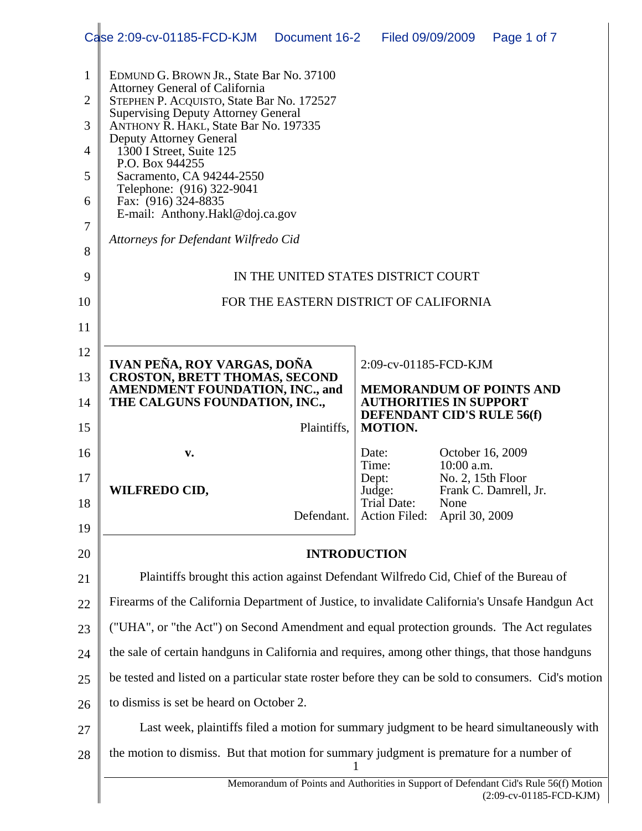|                | Case 2:09-cv-01185-FCD-KJM<br>Document 16-2   Filed 09/09/2009                                                                                                                   |                                                                    |                                | Page 1 of 7           |  |  |  |  |  |
|----------------|----------------------------------------------------------------------------------------------------------------------------------------------------------------------------------|--------------------------------------------------------------------|--------------------------------|-----------------------|--|--|--|--|--|
| 1              | EDMUND G. BROWN JR., State Bar No. 37100                                                                                                                                         |                                                                    |                                |                       |  |  |  |  |  |
| $\overline{2}$ | <b>Attorney General of California</b><br>STEPHEN P. ACQUISTO, State Bar No. 172527                                                                                               |                                                                    |                                |                       |  |  |  |  |  |
| 3              | <b>Supervising Deputy Attorney General</b><br>ANTHONY R. HAKL, State Bar No. 197335<br><b>Deputy Attorney General</b><br>1300 I Street, Suite 125                                |                                                                    |                                |                       |  |  |  |  |  |
| $\overline{4}$ |                                                                                                                                                                                  |                                                                    |                                |                       |  |  |  |  |  |
| 5              | P.O. Box 944255<br>Sacramento, CA 94244-2550                                                                                                                                     |                                                                    |                                |                       |  |  |  |  |  |
| 6              | Telephone: (916) 322-9041<br>Fax: (916) 324-8835                                                                                                                                 |                                                                    |                                |                       |  |  |  |  |  |
| 7              | E-mail: Anthony.Hakl@doj.ca.gov                                                                                                                                                  |                                                                    |                                |                       |  |  |  |  |  |
| 8              | Attorneys for Defendant Wilfredo Cid                                                                                                                                             |                                                                    |                                |                       |  |  |  |  |  |
| 9              | IN THE UNITED STATES DISTRICT COURT                                                                                                                                              |                                                                    |                                |                       |  |  |  |  |  |
| 10             | FOR THE EASTERN DISTRICT OF CALIFORNIA                                                                                                                                           |                                                                    |                                |                       |  |  |  |  |  |
| 11             |                                                                                                                                                                                  |                                                                    |                                |                       |  |  |  |  |  |
| 12             | IVAN PEÑA, ROY VARGAS, DOÑA                                                                                                                                                      | 2:09-cv-01185-FCD-KJM                                              |                                |                       |  |  |  |  |  |
| 13             | <b>CROSTON, BRETT THOMAS, SECOND</b><br>AMENDMENT FOUNDATION, INC., and                                                                                                          | <b>MEMORANDUM OF POINTS AND</b>                                    |                                |                       |  |  |  |  |  |
| 14             | THE CALGUNS FOUNDATION, INC.,                                                                                                                                                    | <b>AUTHORITIES IN SUPPORT</b><br><b>DEFENDANT CID'S RULE 56(f)</b> |                                |                       |  |  |  |  |  |
| 15             | Plaintiffs,                                                                                                                                                                      | <b>MOTION.</b>                                                     |                                |                       |  |  |  |  |  |
| 16             | v.                                                                                                                                                                               | Date:<br>Time:                                                     | October 16, 2009<br>10:00 a.m. |                       |  |  |  |  |  |
| 17             | <b>WILFREDO CID,</b>                                                                                                                                                             | Dept:<br>Judge:                                                    | No. 2, 15th Floor              | Frank C. Damrell, Jr. |  |  |  |  |  |
| 18             | Defendant.                                                                                                                                                                       | Trial Date:<br>Action Filed:                                       | None<br>April 30, 2009         |                       |  |  |  |  |  |
| 19             |                                                                                                                                                                                  |                                                                    |                                |                       |  |  |  |  |  |
| 20             |                                                                                                                                                                                  | <b>INTRODUCTION</b>                                                |                                |                       |  |  |  |  |  |
| 21             | Plaintiffs brought this action against Defendant Wilfredo Cid, Chief of the Bureau of                                                                                            |                                                                    |                                |                       |  |  |  |  |  |
| 22             | Firearms of the California Department of Justice, to invalidate California's Unsafe Handgun Act                                                                                  |                                                                    |                                |                       |  |  |  |  |  |
| 23             | ("UHA", or "the Act") on Second Amendment and equal protection grounds. The Act regulates                                                                                        |                                                                    |                                |                       |  |  |  |  |  |
| 24             | the sale of certain handguns in California and requires, among other things, that those handguns                                                                                 |                                                                    |                                |                       |  |  |  |  |  |
| 25             | be tested and listed on a particular state roster before they can be sold to consumers. Cid's motion                                                                             |                                                                    |                                |                       |  |  |  |  |  |
| 26             | to dismiss is set be heard on October 2.                                                                                                                                         |                                                                    |                                |                       |  |  |  |  |  |
| 27             | Last week, plaintiffs filed a motion for summary judgment to be heard simultaneously with                                                                                        |                                                                    |                                |                       |  |  |  |  |  |
|                |                                                                                                                                                                                  |                                                                    |                                |                       |  |  |  |  |  |
| 28             | the motion to dismiss. But that motion for summary judgment is premature for a number of<br>Memorandum of Points and Authorities in Support of Defendant Cid's Rule 56(f) Motion | 1                                                                  |                                |                       |  |  |  |  |  |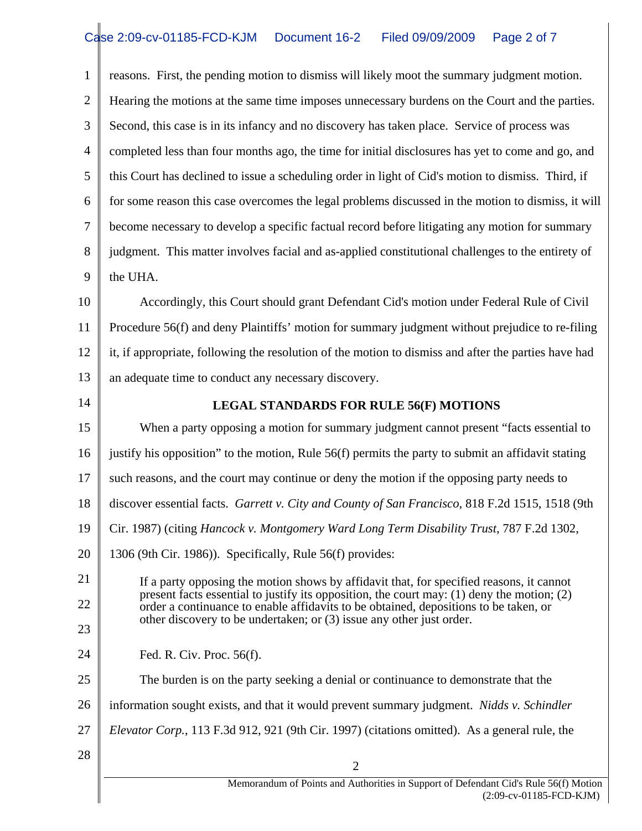1 2 3 4 5 6 7 8 9 10 11 12 13 14 15 16 17 18 19 20 21 22 23 24 25 26 27 28 2 Memorandum of Points and Authorities in Support of Defendant Cid's Rule 56(f) Motion reasons. First, the pending motion to dismiss will likely moot the summary judgment motion. Hearing the motions at the same time imposes unnecessary burdens on the Court and the parties. Second, this case is in its infancy and no discovery has taken place. Service of process was completed less than four months ago, the time for initial disclosures has yet to come and go, and this Court has declined to issue a scheduling order in light of Cid's motion to dismiss. Third, if for some reason this case overcomes the legal problems discussed in the motion to dismiss, it will become necessary to develop a specific factual record before litigating any motion for summary judgment. This matter involves facial and as-applied constitutional challenges to the entirety of the UHA. Accordingly, this Court should grant Defendant Cid's motion under Federal Rule of Civil Procedure 56(f) and deny Plaintiffs' motion for summary judgment without prejudice to re-filing it, if appropriate, following the resolution of the motion to dismiss and after the parties have had an adequate time to conduct any necessary discovery. **LEGAL STANDARDS FOR RULE 56(F) MOTIONS**  When a party opposing a motion for summary judgment cannot present "facts essential to justify his opposition" to the motion, Rule 56(f) permits the party to submit an affidavit stating such reasons, and the court may continue or deny the motion if the opposing party needs to discover essential facts. *Garrett v. City and County of San Francisco*, 818 F.2d 1515, 1518 (9th Cir. 1987) (citing *Hancock v. Montgomery Ward Long Term Disability Trust*, 787 F.2d 1302, 1306 (9th Cir. 1986)). Specifically, Rule 56(f) provides: If a party opposing the motion shows by affidavit that, for specified reasons, it cannot present facts essential to justify its opposition, the court may: (1) deny the motion; (2) order a continuance to enable affidavits to be obtained, depositions to be taken, or other discovery to be undertaken; or (3) issue any other just order. Fed. R. Civ. Proc. 56(f). The burden is on the party seeking a denial or continuance to demonstrate that the information sought exists, and that it would prevent summary judgment. *Nidds v. Schindler Elevator Corp.*, 113 F.3d 912, 921 (9th Cir. 1997) (citations omitted). As a general rule, the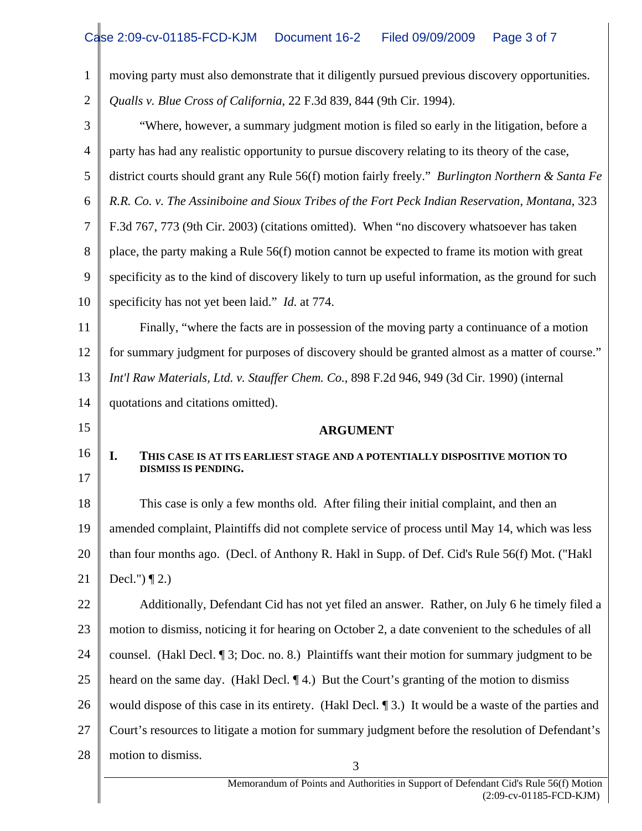| $\mathbf{1}$   | moving party must also demonstrate that it diligently pursued previous discovery opportunities.         |  |  |  |
|----------------|---------------------------------------------------------------------------------------------------------|--|--|--|
| $\overline{2}$ | Qualls v. Blue Cross of California, 22 F.3d 839, 844 (9th Cir. 1994).                                   |  |  |  |
| 3              | "Where, however, a summary judgment motion is filed so early in the litigation, before a                |  |  |  |
| $\overline{4}$ | party has had any realistic opportunity to pursue discovery relating to its theory of the case,         |  |  |  |
| 5              | district courts should grant any Rule 56(f) motion fairly freely." Burlington Northern & Santa Fe       |  |  |  |
| 6              | R.R. Co. v. The Assiniboine and Sioux Tribes of the Fort Peck Indian Reservation, Montana, 323          |  |  |  |
| 7              | F.3d 767, 773 (9th Cir. 2003) (citations omitted). When "no discovery whatsoever has taken              |  |  |  |
| 8              | place, the party making a Rule 56(f) motion cannot be expected to frame its motion with great           |  |  |  |
| 9              | specificity as to the kind of discovery likely to turn up useful information, as the ground for such    |  |  |  |
| 10             | specificity has not yet been laid." <i>Id.</i> at 774.                                                  |  |  |  |
| 11             | Finally, "where the facts are in possession of the moving party a continuance of a motion               |  |  |  |
| 12             | for summary judgment for purposes of discovery should be granted almost as a matter of course."         |  |  |  |
| 13             | Int'l Raw Materials, Ltd. v. Stauffer Chem. Co., 898 F.2d 946, 949 (3d Cir. 1990) (internal             |  |  |  |
| 14             | quotations and citations omitted).                                                                      |  |  |  |
| 15             | <b>ARGUMENT</b>                                                                                         |  |  |  |
| 16             | I.<br>THIS CASE IS AT ITS EARLIEST STAGE AND A POTENTIALLY DISPOSITIVE MOTION TO                        |  |  |  |
| 17             | <b>DISMISS IS PENDING.</b>                                                                              |  |  |  |
| 18             | This case is only a few months old. After filing their initial complaint, and then an                   |  |  |  |
| 19             | amended complaint, Plaintiffs did not complete service of process until May 14, which was less          |  |  |  |
| 20             | than four months ago. (Decl. of Anthony R. Hakl in Supp. of Def. Cid's Rule 56(f) Mot. ("Hakl           |  |  |  |
| 21             | Decl.") $\P$ 2.)                                                                                        |  |  |  |
| 22             | Additionally, Defendant Cid has not yet filed an answer. Rather, on July 6 he timely filed a            |  |  |  |
| 23             | motion to dismiss, noticing it for hearing on October 2, a date convenient to the schedules of all      |  |  |  |
| 24             | counsel. (Hakl Decl. 13; Doc. no. 8.) Plaintiffs want their motion for summary judgment to be           |  |  |  |
| 25             | heard on the same day. (Hakl Decl. 14.) But the Court's granting of the motion to dismiss               |  |  |  |
| 26             | would dispose of this case in its entirety. (Hakl Decl. $\P$ 3.) It would be a waste of the parties and |  |  |  |
| 27             | Court's resources to litigate a motion for summary judgment before the resolution of Defendant's        |  |  |  |
| 28             | motion to dismiss.<br>3                                                                                 |  |  |  |
|                | Memorandum of Points and Authorities in Support of Defendant Cid's Rule 56(f) Motion                    |  |  |  |
|                | $(2:09-cv-01185-FCD-KJM)$                                                                               |  |  |  |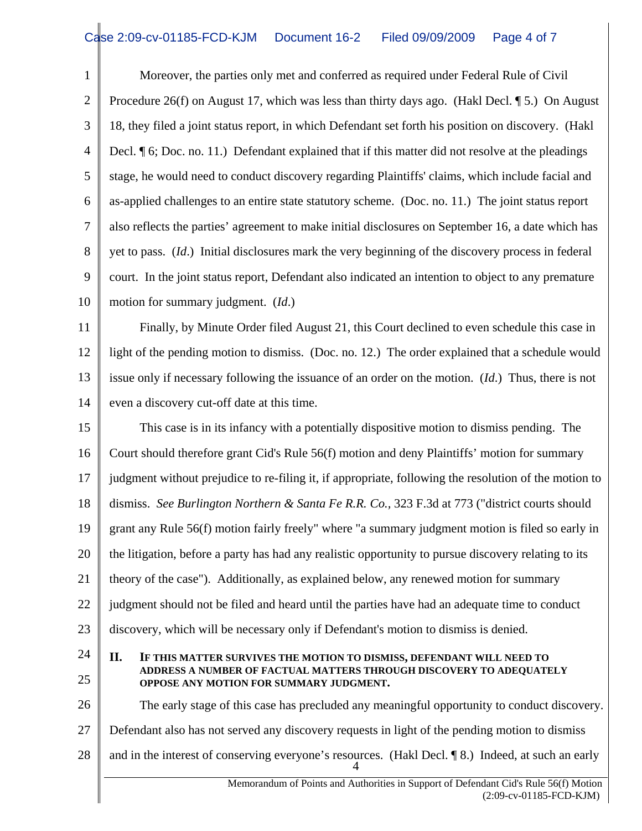1 2 3 4 5 6 7 8 9 10 Moreover, the parties only met and conferred as required under Federal Rule of Civil Procedure 26(f) on August 17, which was less than thirty days ago. (Hakl Decl.  $\P$  5.) On August 18, they filed a joint status report, in which Defendant set forth his position on discovery. (Hakl Decl. ¶ 6; Doc. no. 11.) Defendant explained that if this matter did not resolve at the pleadings stage, he would need to conduct discovery regarding Plaintiffs' claims, which include facial and as-applied challenges to an entire state statutory scheme. (Doc. no. 11.) The joint status report also reflects the parties' agreement to make initial disclosures on September 16, a date which has yet to pass. (*Id*.) Initial disclosures mark the very beginning of the discovery process in federal court. In the joint status report, Defendant also indicated an intention to object to any premature motion for summary judgment. (*Id*.)

11 12 13 14 Finally, by Minute Order filed August 21, this Court declined to even schedule this case in light of the pending motion to dismiss. (Doc. no. 12.) The order explained that a schedule would issue only if necessary following the issuance of an order on the motion. (*Id*.) Thus, there is not even a discovery cut-off date at this time.

15 16 17 18 19 20 21 22 23 This case is in its infancy with a potentially dispositive motion to dismiss pending. The Court should therefore grant Cid's Rule 56(f) motion and deny Plaintiffs' motion for summary judgment without prejudice to re-filing it, if appropriate, following the resolution of the motion to dismiss. *See Burlington Northern & Santa Fe R.R. Co.,* 323 F.3d at 773 ("district courts should grant any Rule 56(f) motion fairly freely" where "a summary judgment motion is filed so early in the litigation, before a party has had any realistic opportunity to pursue discovery relating to its theory of the case"). Additionally, as explained below, any renewed motion for summary judgment should not be filed and heard until the parties have had an adequate time to conduct discovery, which will be necessary only if Defendant's motion to dismiss is denied.

25 24

## **II. IF THIS MATTER SURVIVES THE MOTION TO DISMISS, DEFENDANT WILL NEED TO ADDRESS A NUMBER OF FACTUAL MATTERS THROUGH DISCOVERY TO ADEQUATELY OPPOSE ANY MOTION FOR SUMMARY JUDGMENT.**

26 27 28 4 The early stage of this case has precluded any meaningful opportunity to conduct discovery. Defendant also has not served any discovery requests in light of the pending motion to dismiss and in the interest of conserving everyone's resources. (Hakl Decl. ¶ 8.) Indeed, at such an early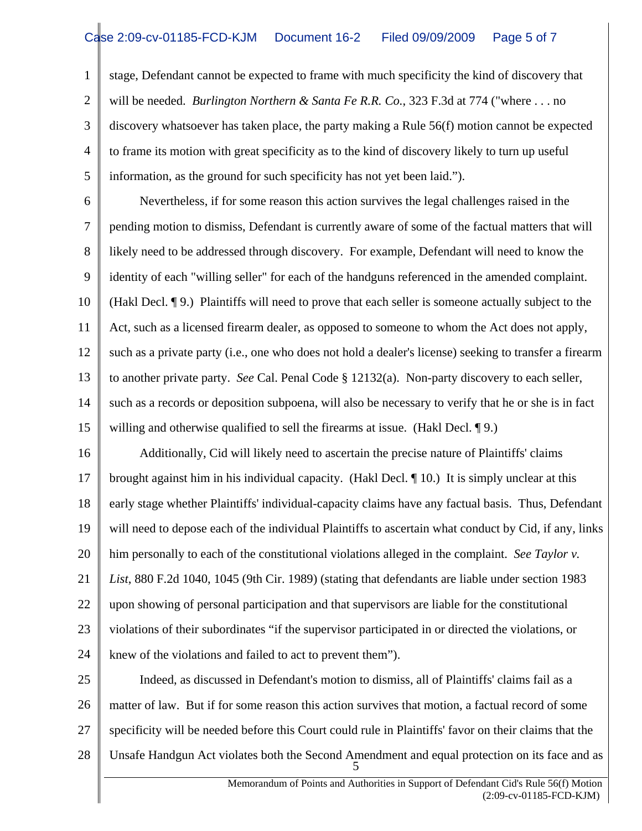1 2 3 4 5 stage, Defendant cannot be expected to frame with much specificity the kind of discovery that will be needed. *Burlington Northern & Santa Fe R.R. Co.*, 323 F.3d at 774 ("where . . . no discovery whatsoever has taken place, the party making a Rule 56(f) motion cannot be expected to frame its motion with great specificity as to the kind of discovery likely to turn up useful information, as the ground for such specificity has not yet been laid.").

6 7 8 9 10 11 12 13 14 15 Nevertheless, if for some reason this action survives the legal challenges raised in the pending motion to dismiss, Defendant is currently aware of some of the factual matters that will likely need to be addressed through discovery. For example, Defendant will need to know the identity of each "willing seller" for each of the handguns referenced in the amended complaint. (Hakl Decl. ¶ 9.) Plaintiffs will need to prove that each seller is someone actually subject to the Act, such as a licensed firearm dealer, as opposed to someone to whom the Act does not apply, such as a private party (i.e., one who does not hold a dealer's license) seeking to transfer a firearm to another private party. *See* Cal. Penal Code § 12132(a). Non-party discovery to each seller, such as a records or deposition subpoena, will also be necessary to verify that he or she is in fact willing and otherwise qualified to sell the firearms at issue. (Hakl Decl. 19.)

16 17 18 19 20 21 22 23 24 Additionally, Cid will likely need to ascertain the precise nature of Plaintiffs' claims brought against him in his individual capacity. (Hakl Decl. ¶ 10.) It is simply unclear at this early stage whether Plaintiffs' individual-capacity claims have any factual basis. Thus, Defendant will need to depose each of the individual Plaintiffs to ascertain what conduct by Cid, if any, links him personally to each of the constitutional violations alleged in the complaint. *See Taylor v. List*, 880 F.2d 1040, 1045 (9th Cir. 1989) (stating that defendants are liable under section 1983 upon showing of personal participation and that supervisors are liable for the constitutional violations of their subordinates "if the supervisor participated in or directed the violations, or knew of the violations and failed to act to prevent them").

25 26 27 28 5 Indeed, as discussed in Defendant's motion to dismiss, all of Plaintiffs' claims fail as a matter of law. But if for some reason this action survives that motion, a factual record of some specificity will be needed before this Court could rule in Plaintiffs' favor on their claims that the Unsafe Handgun Act violates both the Second Amendment and equal protection on its face and as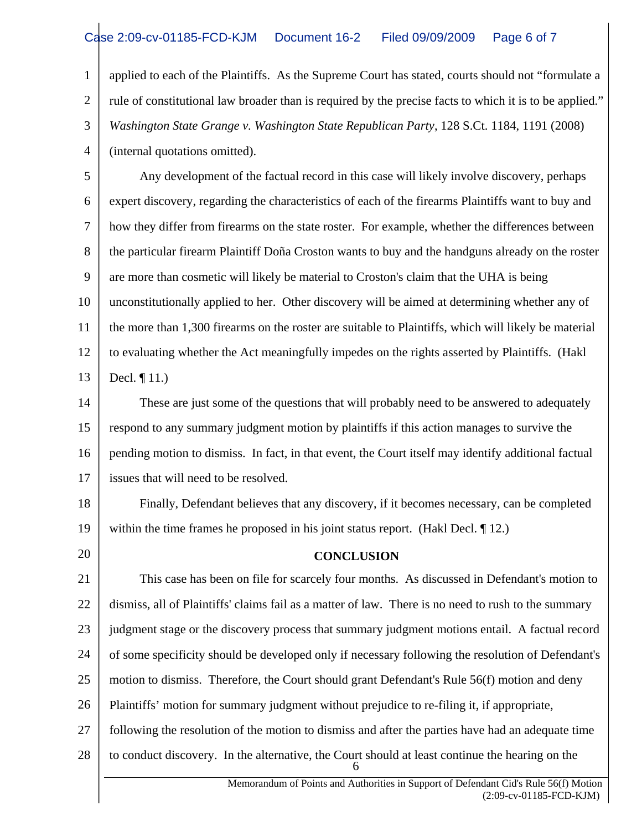1 2 3 4 applied to each of the Plaintiffs. As the Supreme Court has stated, courts should not "formulate a rule of constitutional law broader than is required by the precise facts to which it is to be applied." *Washington State Grange v. Washington State Republican Party*, 128 S.Ct. 1184, 1191 (2008) (internal quotations omitted).

5 6 7 8 9 10 11 12 13 Any development of the factual record in this case will likely involve discovery, perhaps expert discovery, regarding the characteristics of each of the firearms Plaintiffs want to buy and how they differ from firearms on the state roster. For example, whether the differences between the particular firearm Plaintiff Doña Croston wants to buy and the handguns already on the roster are more than cosmetic will likely be material to Croston's claim that the UHA is being unconstitutionally applied to her. Other discovery will be aimed at determining whether any of the more than 1,300 firearms on the roster are suitable to Plaintiffs, which will likely be material to evaluating whether the Act meaningfully impedes on the rights asserted by Plaintiffs. (Hakl Decl. ¶ 11.)

14 15 16 17 These are just some of the questions that will probably need to be answered to adequately respond to any summary judgment motion by plaintiffs if this action manages to survive the pending motion to dismiss. In fact, in that event, the Court itself may identify additional factual issues that will need to be resolved.

18 19 Finally, Defendant believes that any discovery, if it becomes necessary, can be completed within the time frames he proposed in his joint status report. (Hakl Decl. 1 12.)

20

## **CONCLUSION**

21 22 23 24 25 26 27 28 6 This case has been on file for scarcely four months. As discussed in Defendant's motion to dismiss, all of Plaintiffs' claims fail as a matter of law. There is no need to rush to the summary judgment stage or the discovery process that summary judgment motions entail. A factual record of some specificity should be developed only if necessary following the resolution of Defendant's motion to dismiss. Therefore, the Court should grant Defendant's Rule 56(f) motion and deny Plaintiffs' motion for summary judgment without prejudice to re-filing it, if appropriate, following the resolution of the motion to dismiss and after the parties have had an adequate time to conduct discovery. In the alternative, the Court should at least continue the hearing on the